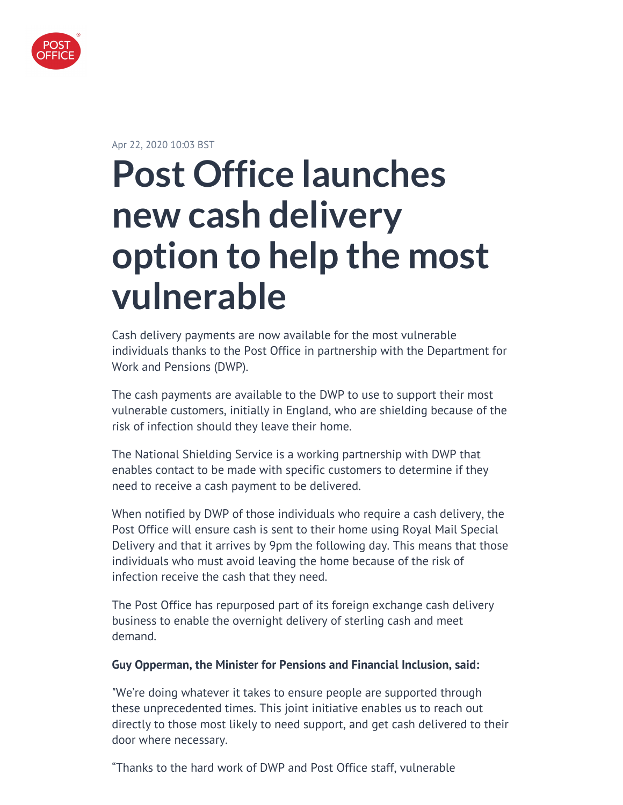

Apr 22, 2020 10:03 BST

# **Post Office launches new cash delivery option to help the most vulnerable**

Cash delivery payments are now available for the most vulnerable individuals thanks to the Post Office in partnership with the Department for Work and Pensions (DWP).

The cash payments are available to the DWP to use to support their most vulnerable customers, initially in England, who are shielding because of the risk of infection should they leave their home.

The National Shielding Service is a working partnership with DWP that enables contact to be made with specific customers to determine if they need to receive a cash payment to be delivered.

When notified by DWP of those individuals who require a cash delivery, the Post Office will ensure cash is sent to their home using Royal Mail Special Delivery and that it arrives by 9pm the following day. This means that those individuals who must avoid leaving the home because of the risk of infection receive the cash that they need.

The Post Office has repurposed part of its foreign exchange cash delivery business to enable the overnight delivery of sterling cash and meet demand.

#### **Guy Opperman, the Minister for Pensions and Financial Inclusion, said:**

"We're doing whatever it takes to ensure people are supported through these unprecedented times. This joint initiative enables us to reach out directly to those most likely to need support, and get cash delivered to their door where necessary.

"Thanks to the hard work of DWP and Post Office staff, vulnerable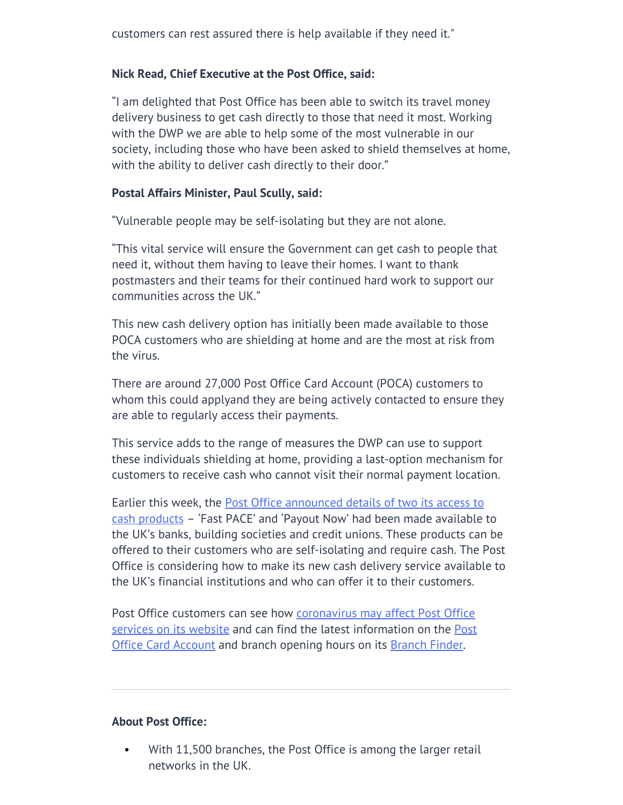#### **Nick Read, Chief Executive at the Post Office, said:**

"I am delighted that Post Office has been able to switch its travel money delivery business to get cash directly to those that need it most. Working with the DWP we are able to help some of the most vulnerable in our society, including those who have been asked to shield themselves at home, with the ability to deliver cash directly to their door."

#### **Postal Affairs Minister, Paul Scully, said:**

"Vulnerable people may be self-isolating but they are not alone.

"This vital service will ensure the Government can get cash to people that need it, without them having to leave their homes. I want to thank postmasters and their teams for their continued hard work to support our communities across the UK."

This new cash delivery option has initially been made available to those POCA customers who are shielding at home and are the most at risk from the virus.

There are around 27,000 Post Office Card Account (POCA) customers to whom this could applyand they are being actively contacted to ensure they are able to regularly access their payments.

This service adds to the range of measures the DWP can use to support these individuals shielding at home, providing a last-option mechanism for customers to receive cash who cannot visit their normal payment location.

Earlier this week, the **Post Office announced details of two its access to** [cash products](http://corporate.postoffice.co.uk/our-media-centre#/pressreleases/post-office-makes-access-to-cash-products-available-faster-to-help-self-isolating-individuals-during-coronavirus-pandemic-2990603?_sm_byp=iVVSHj8NMZnrrRnH) – 'Fast PACE' and 'Payout Now' had been made available to the UK's banks, building societies and credit unions. These products can be offered to their customers who are self-isolating and require cash. The Post Office is considering how to make its new cash delivery service available to the UK's financial institutions and who can offer it to their customers.

Post Office customers can see how [coronavirus may affect Post Office](https://www.postoffice.co.uk/coronavirus) [services on its website](https://www.postoffice.co.uk/coronavirus) and can find the latest information on the [Post](https://www.postoffice.co.uk/post-office-card-account) [Office Card Account](https://www.postoffice.co.uk/post-office-card-account) and branch opening hours on its **[Branch Finder](https://www.postoffice.co.uk/branch-finder)**.

#### **About Post Office:**

• With 11,500 branches, the Post Office is among the larger retail networks in the UK.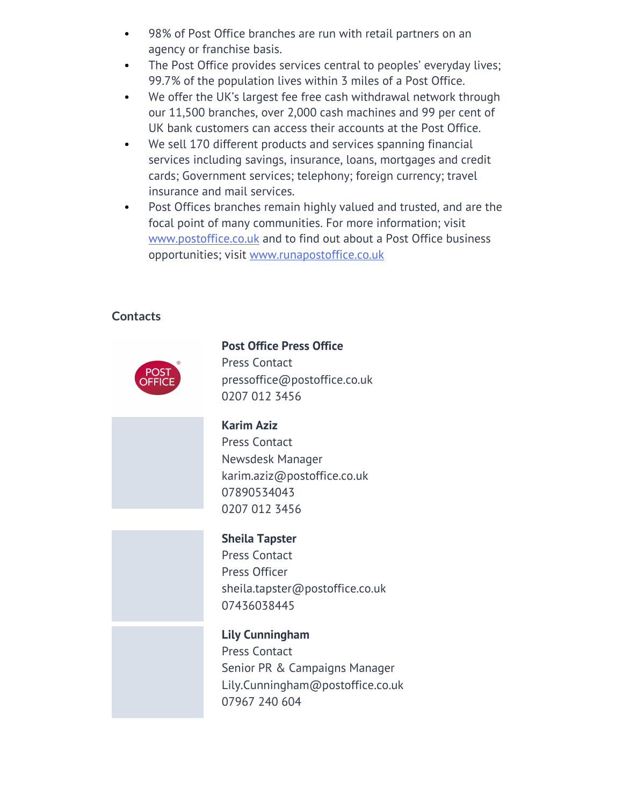- 98% of Post Office branches are run with retail partners on an agency or franchise basis.
- The Post Office provides services central to peoples' everyday lives; 99.7% of the population lives within 3 miles of a Post Office.
- We offer the UK's largest fee free cash withdrawal network through our 11,500 branches, over 2,000 cash machines and 99 per cent of UK bank customers can access their accounts at the Post Office.
- We sell 170 different products and services spanning financial services including savings, insurance, loans, mortgages and credit cards; Government services; telephony; foreign currency; travel insurance and mail services.
- Post Offices branches remain highly valued and trusted, and are the focal point of many communities. For more information; visit [www.postoffice.co.uk](http://www.postoffice.co.uk) and to find out about a Post Office business opportunities; visit [www.runapostoffice.co.uk](http://www.runapostoffice.co.uk)

## **Contacts**



## **Post Office Press Office**

Press Contact [pressoffice@postoffice.co.uk](mailto:pressoffice@postoffice.co.uk) [0207 012 3456](tel:0207 012 3456)

#### **Karim Aziz**

Press Contact Newsdesk Manager [karim.aziz@postoffice.co.uk](mailto:karim.aziz@postoffice.co.uk) [07890534043](tel:07890534043) [0207 012 3456](tel:07890534043)

# **Sheila Tapster**

Press Contact Press Officer [sheila.tapster@postoffice.co.uk](mailto:sheila.tapster@postoffice.co.uk) [07436038445](tel:07436038445)

**Lily Cunningham** Press Contact Senior PR & Campaigns Manager [Lily.Cunningham@postoffice.co.uk](mailto:Lily.Cunningham@postoffice.co.uk) [07967 240 604](tel:07967 240 604)